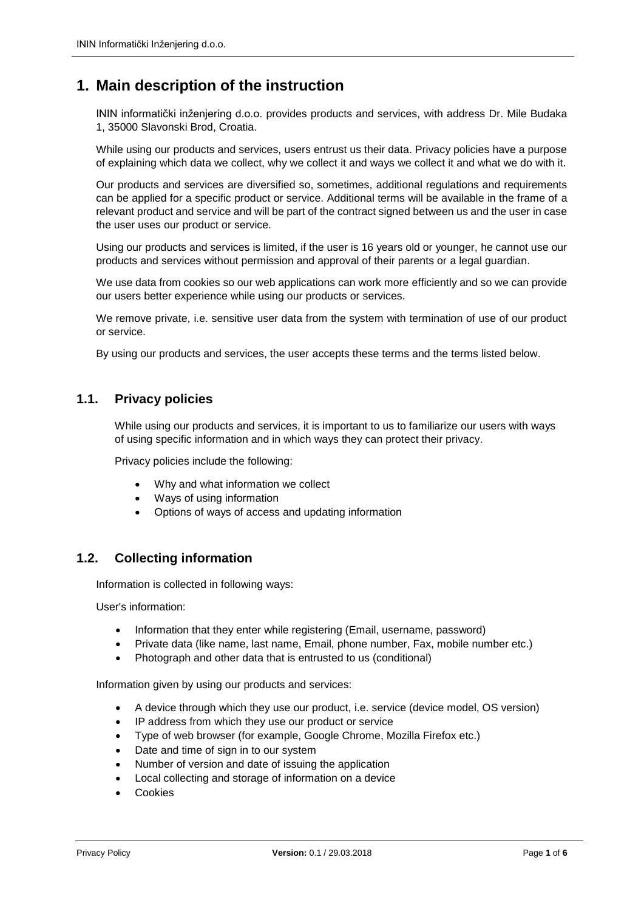# **1. Main description of the instruction**

ININ informatički inženjering d.o.o. provides products and services, with address Dr. Mile Budaka 1, 35000 Slavonski Brod, Croatia.

While using our products and services, users entrust us their data. Privacy policies have a purpose of explaining which data we collect, why we collect it and ways we collect it and what we do with it.

Our products and services are diversified so, sometimes, additional regulations and requirements can be applied for a specific product or service. Additional terms will be available in the frame of a relevant product and service and will be part of the contract signed between us and the user in case the user uses our product or service.

Using our products and services is limited, if the user is 16 years old or younger, he cannot use our products and services without permission and approval of their parents or a legal guardian.

We use data from cookies so our web applications can work more efficiently and so we can provide our users better experience while using our products or services.

We remove private, i.e. sensitive user data from the system with termination of use of our product or service.

By using our products and services, the user accepts these terms and the terms listed below.

# **1.1. Privacy policies**

While using our products and services, it is important to us to familiarize our users with ways of using specific information and in which ways they can protect their privacy.

Privacy policies include the following:

- Why and what information we collect
- Ways of using information
- Options of ways of access and updating information

# **1.2. Collecting information**

Information is collected in following ways:

User's information:

- Information that they enter while registering (Email, username, password)
- Private data (like name, last name, Email, phone number, Fax, mobile number etc.)
- Photograph and other data that is entrusted to us (conditional)

Information given by using our products and services:

- A device through which they use our product, i.e. service (device model, OS version)
- IP address from which they use our product or service
- Type of web browser (for example, Google Chrome, Mozilla Firefox etc.)
- Date and time of sign in to our system
- Number of version and date of issuing the application
- Local collecting and storage of information on a device
- Cookies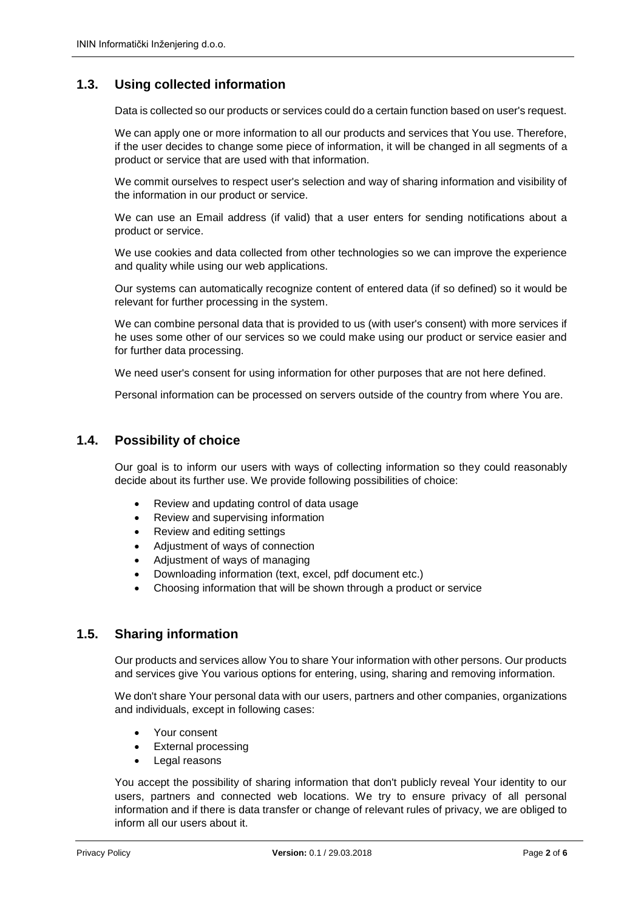# **1.3. Using collected information**

Data is collected so our products or services could do a certain function based on user's request.

We can apply one or more information to all our products and services that You use. Therefore, if the user decides to change some piece of information, it will be changed in all segments of a product or service that are used with that information.

We commit ourselves to respect user's selection and way of sharing information and visibility of the information in our product or service.

We can use an Email address (if valid) that a user enters for sending notifications about a product or service.

We use cookies and data collected from other technologies so we can improve the experience and quality while using our web applications.

Our systems can automatically recognize content of entered data (if so defined) so it would be relevant for further processing in the system.

We can combine personal data that is provided to us (with user's consent) with more services if he uses some other of our services so we could make using our product or service easier and for further data processing.

We need user's consent for using information for other purposes that are not here defined.

Personal information can be processed on servers outside of the country from where You are.

## **1.4. Possibility of choice**

Our goal is to inform our users with ways of collecting information so they could reasonably decide about its further use. We provide following possibilities of choice:

- Review and updating control of data usage
- Review and supervising information
- Review and editing settings
- Adjustment of ways of connection
- Adjustment of ways of managing
- Downloading information (text, excel, pdf document etc.)
- Choosing information that will be shown through a product or service

#### **1.5. Sharing information**

Our products and services allow You to share Your information with other persons. Our products and services give You various options for entering, using, sharing and removing information.

We don't share Your personal data with our users, partners and other companies, organizations and individuals, except in following cases:

- Your consent
- External processing
- Legal reasons

You accept the possibility of sharing information that don't publicly reveal Your identity to our users, partners and connected web locations. We try to ensure privacy of all personal information and if there is data transfer or change of relevant rules of privacy, we are obliged to inform all our users about it.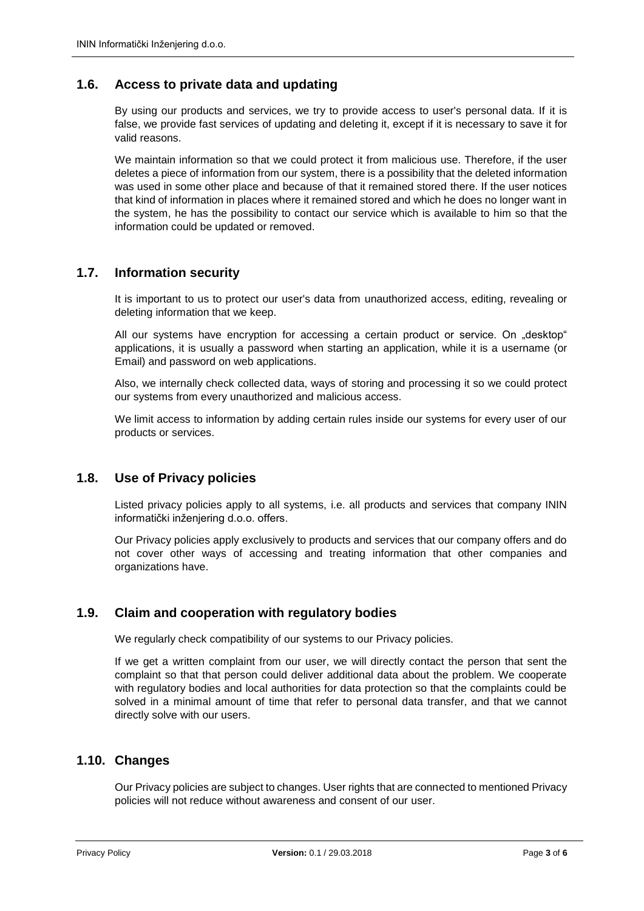# **1.6. Access to private data and updating**

By using our products and services, we try to provide access to user's personal data. If it is false, we provide fast services of updating and deleting it, except if it is necessary to save it for valid reasons.

We maintain information so that we could protect it from malicious use. Therefore, if the user deletes a piece of information from our system, there is a possibility that the deleted information was used in some other place and because of that it remained stored there. If the user notices that kind of information in places where it remained stored and which he does no longer want in the system, he has the possibility to contact our service which is available to him so that the information could be updated or removed.

#### **1.7. Information security**

It is important to us to protect our user's data from unauthorized access, editing, revealing or deleting information that we keep.

All our systems have encryption for accessing a certain product or service. On "desktop" applications, it is usually a password when starting an application, while it is a username (or Email) and password on web applications.

Also, we internally check collected data, ways of storing and processing it so we could protect our systems from every unauthorized and malicious access.

We limit access to information by adding certain rules inside our systems for every user of our products or services.

# **1.8. Use of Privacy policies**

Listed privacy policies apply to all systems, i.e. all products and services that company ININ informatički inženjering d.o.o. offers.

Our Privacy policies apply exclusively to products and services that our company offers and do not cover other ways of accessing and treating information that other companies and organizations have.

#### **1.9. Claim and cooperation with regulatory bodies**

We regularly check compatibility of our systems to our Privacy policies.

If we get a written complaint from our user, we will directly contact the person that sent the complaint so that that person could deliver additional data about the problem. We cooperate with regulatory bodies and local authorities for data protection so that the complaints could be solved in a minimal amount of time that refer to personal data transfer, and that we cannot directly solve with our users.

## **1.10. Changes**

Our Privacy policies are subject to changes. User rights that are connected to mentioned Privacy policies will not reduce without awareness and consent of our user.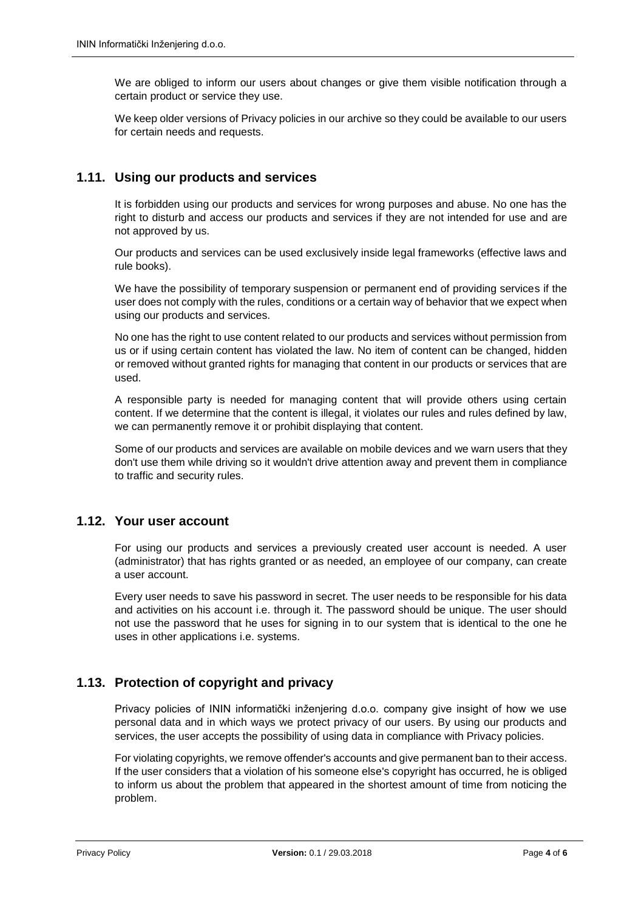We are obliged to inform our users about changes or give them visible notification through a certain product or service they use.

We keep older versions of Privacy policies in our archive so they could be available to our users for certain needs and requests.

## **1.11. Using our products and services**

It is forbidden using our products and services for wrong purposes and abuse. No one has the right to disturb and access our products and services if they are not intended for use and are not approved by us.

Our products and services can be used exclusively inside legal frameworks (effective laws and rule books).

We have the possibility of temporary suspension or permanent end of providing services if the user does not comply with the rules, conditions or a certain way of behavior that we expect when using our products and services.

No one has the right to use content related to our products and services without permission from us or if using certain content has violated the law. No item of content can be changed, hidden or removed without granted rights for managing that content in our products or services that are used.

A responsible party is needed for managing content that will provide others using certain content. If we determine that the content is illegal, it violates our rules and rules defined by law, we can permanently remove it or prohibit displaying that content.

Some of our products and services are available on mobile devices and we warn users that they don't use them while driving so it wouldn't drive attention away and prevent them in compliance to traffic and security rules.

#### **1.12. Your user account**

For using our products and services a previously created user account is needed. A user (administrator) that has rights granted or as needed, an employee of our company, can create a user account.

Every user needs to save his password in secret. The user needs to be responsible for his data and activities on his account i.e. through it. The password should be unique. The user should not use the password that he uses for signing in to our system that is identical to the one he uses in other applications i.e. systems.

# **1.13. Protection of copyright and privacy**

Privacy policies of ININ informatički inženjering d.o.o. company give insight of how we use personal data and in which ways we protect privacy of our users. By using our products and services, the user accepts the possibility of using data in compliance with Privacy policies.

For violating copyrights, we remove offender's accounts and give permanent ban to their access. If the user considers that a violation of his someone else's copyright has occurred, he is obliged to inform us about the problem that appeared in the shortest amount of time from noticing the problem.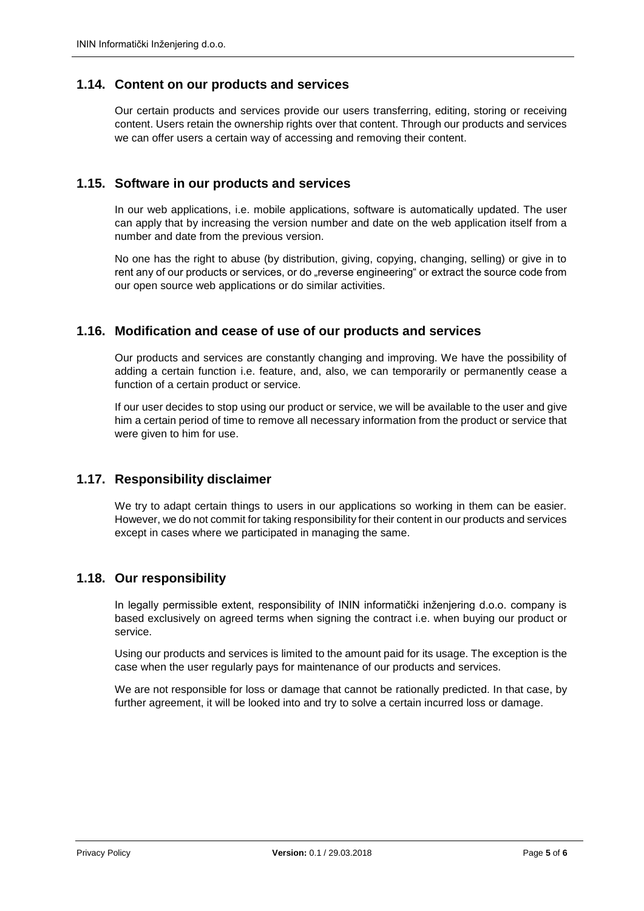## **1.14. Content on our products and services**

Our certain products and services provide our users transferring, editing, storing or receiving content. Users retain the ownership rights over that content. Through our products and services we can offer users a certain way of accessing and removing their content.

## **1.15. Software in our products and services**

In our web applications, i.e. mobile applications, software is automatically updated. The user can apply that by increasing the version number and date on the web application itself from a number and date from the previous version.

No one has the right to abuse (by distribution, giving, copying, changing, selling) or give in to rent any of our products or services, or do "reverse engineering" or extract the source code from our open source web applications or do similar activities.

## **1.16. Modification and cease of use of our products and services**

Our products and services are constantly changing and improving. We have the possibility of adding a certain function i.e. feature, and, also, we can temporarily or permanently cease a function of a certain product or service.

If our user decides to stop using our product or service, we will be available to the user and give him a certain period of time to remove all necessary information from the product or service that were given to him for use.

# **1.17. Responsibility disclaimer**

We try to adapt certain things to users in our applications so working in them can be easier. However, we do not commit for taking responsibility for their content in our products and services except in cases where we participated in managing the same.

#### **1.18. Our responsibility**

In legally permissible extent, responsibility of ININ informatički inženjering d.o.o. company is based exclusively on agreed terms when signing the contract i.e. when buying our product or service.

Using our products and services is limited to the amount paid for its usage. The exception is the case when the user regularly pays for maintenance of our products and services.

We are not responsible for loss or damage that cannot be rationally predicted. In that case, by further agreement, it will be looked into and try to solve a certain incurred loss or damage.